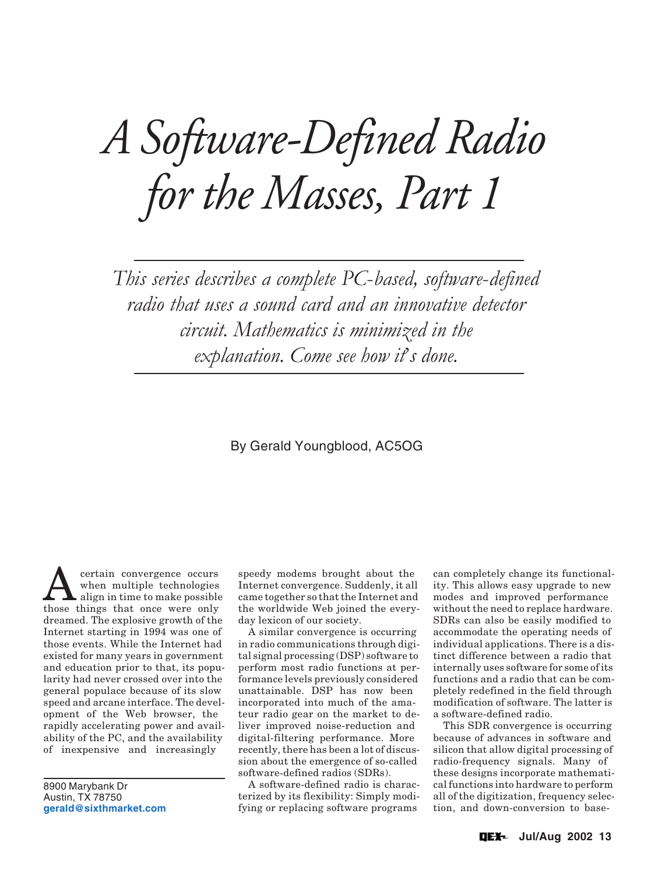# *A Software-Defined Radio for the Masses, Part 1*

This series describes a complete PC-based, software-defined radio that uses a sound card and an innovative detector circuit. Mathematics is minimized in the explanation. Come see how it's done.

# By Gerald Youngblood, AC5OG

**A** certain convergence occurs<br>
align in time to make possible<br>
those things that once were only when multiple technologies those things that once were only dreamed. The explosive growth of the Internet starting in 1994 was one of those events. While the Internet had existed for many years in government and education prior to that, its popularity had never crossed over into the general populace because of its slow speed and arcane interface. The development of the Web browser, the rapidly accelerating power and availability of the PC, and the availability of inexpensive and increasingly

8900 Marybank Dr Austin, TX 78750 **[gerald@sixthmarket.com](mailto:gerald@sixthmarket.com)**

speedy modems brought about the Internet convergence. Suddenly, it all came together so that the Internet and the worldwide Web joined the everyday lexicon of our society.

A similar convergence is occurring in radio communications through digital signal processing (DSP) software to perform most radio functions at performance levels previously considered unattainable. DSP has now been incorporated into much of the amateur radio gear on the market to deliver improved noise-reduction and digital-filtering performance. More recently, there has been a lot of discussion about the emergence of so-called software-defined radios (SDRs).

A software-defined radio is characterized by its flexibility: Simply modifying or replacing software programs

can completely change its functionality. This allows easy upgrade to new modes and improved performance without the need to replace hardware. SDRs can also be easily modified to accommodate the operating needs of individual applications. There is a distinct difference between a radio that internally uses software for some of its functions and a radio that can be completely redefined in the field through modification of software. The latter is a software-defined radio.

This SDR convergence is occurring because of advances in software and silicon that allow digital processing of radio-frequency signals. Many of these designs incorporate mathematical functions into hardware to perform all of the digitization, frequency selection, and down-conversion to base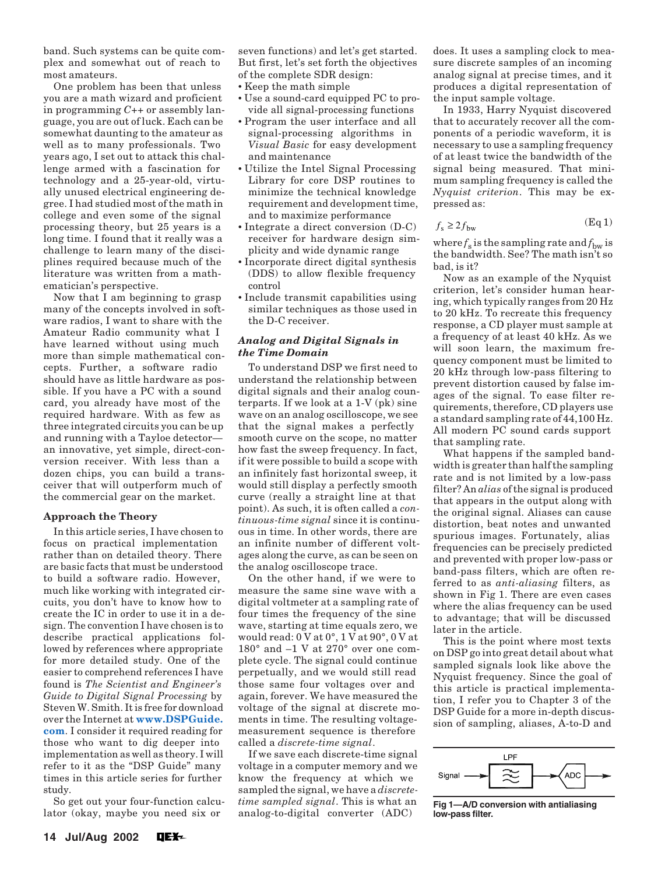<span id="page-1-0"></span>band. Such systems can be quite complex and somewhat out of reach to most amateurs.

One problem has been that unless you are a math wizard and proficient in programming *C++* or assembly language, you are out of luck. Each can be somewhat daunting to the amateur as well as to many professionals. Two years ago, I set out to attack this challenge armed with a fascination for technology and a 25-year-old, virtually unused electrical engineering degree. I had studied most of the math in college and even some of the signal processing theory, but 25 years is a long time. I found that it really was a challenge to learn many of the disciplines required because much of the literature was written from a mathematician's perspective.

Now that I am beginning to grasp many of the concepts involved in software radios, I want to share with the Amateur Radio community what I have learned without using much more than simple mathematical concepts. Further, a software radio should have as little hardware as possible. If you have a PC with a sound card, you already have most of the required hardware. With as few as three integrated circuits you can be up and running with a Tayloe detector an innovative, yet simple, direct-conversion receiver. With less than a dozen chips, you can build a transceiver that will outperform much of the commercial gear on the market.

# **Approach the Theory**

In this article series, I have chosen to focus on practical implementation rather than on detailed theory. There are basic facts that must be understood to build a software radio. However, much like working with integrated circuits, you don't have to know how to create the IC in order to use it in a design. The convention I have chosen is to describe practical applications followed by references where appropriate for more detailed study. One of the easier to comprehend references I have found is *The Scientist and Engineer's Guide to Digital Signal Processing* by Steven W. Smith. It is free for download over the Internet at **[www.DSPGuide.](http://www.DSPGuide.com) [com](http://www.DSPGuide.com)**. I consider it required reading for those who want to dig deeper into implementation as well as theory. I will refer to it as the "DSP Guide" many times in this article series for further study.

So get out your four-function calculator (okay, maybe you need six or

seven functions) and let's get started. But first, let's set forth the objectives of the complete SDR design:

- Keep the math simple
- Use a sound-card equipped PC to provide all signal-processing functions
- Program the user interface and all signal-processing algorithms in *Visual Basic* for easy development and maintenance
- Utilize the Intel Signal Processing Library for core DSP routines to minimize the technical knowledge requirement and development time, and to maximize performance
- Integrate a direct conversion (D-C) receiver for hardware design simplicity and wide dynamic range
- Incorporate direct digital synthesis (DDS) to allow flexible frequency control
- Include transmit capabilities using similar techniques as those used in the D-C receiver.

# *Analog and Digital Signals in the Time Domain*

To understand DSP we first need to understand the relationship between digital signals and their analog counterparts. If we look at a 1-V (pk) sine wave on an analog oscilloscope, we see that the signal makes a perfectly smooth curve on the scope, no matter how fast the sweep frequency. In fact, if it were possible to build a scope with an infinitely fast horizontal sweep, it would still display a perfectly smooth curve (really a straight line at that point). As such, it is often called a *continuous-time signal* since it is continuous in time. In other words, there are an infinite number of different voltages along the curve, as can be seen on the analog oscilloscope trace.

On the other hand, if we were to measure the same sine wave with a digital voltmeter at a sampling rate of four times the frequency of the sine wave, starting at time equals zero, we would read: 0 V at 0°, 1 V at 90°, 0 V at 180° and –1 V at 270° over one complete cycle. The signal could continue perpetually, and we would still read those same four voltages over and again, forever. We have measured the voltage of the signal at discrete moments in time. The resulting voltagemeasurement sequence is therefore called a *discrete-time signal*.

If we save each discrete-time signal voltage in a computer memory and we know the frequency at which we sampled the signal, we have a *discretetime sampled signal*. This is what an analog-to-digital converter (ADC)

does. It uses a sampling clock to measure discrete samples of an incoming analog signal at precise times, and it produces a digital representation of the input sample voltage.

In 1933, Harry Nyquist discovered that to accurately recover all the components of a periodic waveform, it is necessary to use a sampling frequency of at least twice the bandwidth of the signal being measured. That minimum sampling frequency is called the *Nyquist criterion*. This may be expressed as:

$$
f_{\rm s} \ge 2f_{\rm bw} \tag{Eq 1}
$$

where  $f_s$  is the sampling rate and  $f_{bw}$  is the bandwidth. See? The math isn't so bad, is it?

Now as an example of the Nyquist criterion, let's consider human hearing, which typically ranges from 20 Hz to 20 kHz. To recreate this frequency response, a CD player must sample at a frequency of at least 40 kHz. As we will soon learn, the maximum frequency component must be limited to 20 kHz through low-pass filtering to prevent distortion caused by false images of the signal. To ease filter requirements, therefore, CD players use a standard sampling rate of 44,100 Hz. All modern PC sound cards support that sampling rate.

What happens if the sampled bandwidth is greater than half the sampling rate and is not limited by a low-pass filter? An *alias* of the signal is produced that appears in the output along with the original signal. Aliases can cause distortion, beat notes and unwanted spurious images. Fortunately, alias frequencies can be precisely predicted and prevented with proper low-pass or band-pass filters, which are often referred to as *anti-aliasing* filters, as shown in Fig 1. There are even cases where the alias frequency can be used to advantage; that will be discussed later in the article.

This is the point where most texts on DSP go into great detail about what sampled signals look like above the Nyquist frequency. Since the goal of this article is practical implementation, I refer you to Chapter 3 of the DSP Guide for a more in-depth discussion of sampling, aliases, A-to-D and



**Fig 1—A/D conversion with antialiasing low-pass filter.**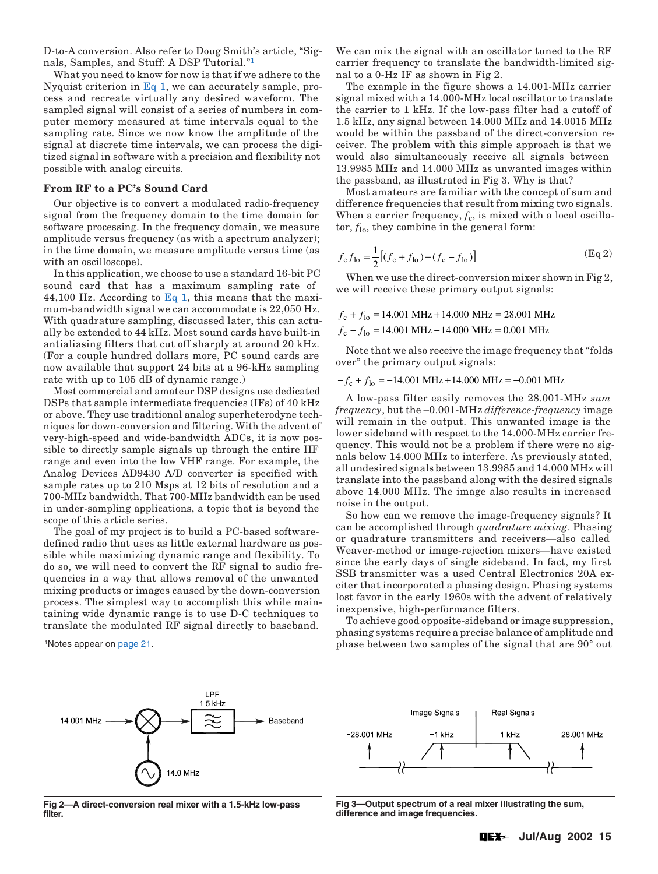<span id="page-2-0"></span>D-to-A conversion. Also refer to Doug Smith's article, "Signals, Samples, and Stuff: A DSP Tutorial."[1](#page-8-0)

What you need to know for now is that if we adhere to the Nyquist criterion in  $Eq 1$ , we can accurately sample, process and recreate virtually any desired waveform. The sampled signal will consist of a series of numbers in computer memory measured at time intervals equal to the sampling rate. Since we now know the amplitude of the signal at discrete time intervals, we can process the digitized signal in software with a precision and flexibility not possible with analog circuits.

### **From RF to a PC's Sound Card**

Our objective is to convert a modulated radio-frequency signal from the frequency domain to the time domain for software processing. In the frequency domain, we measure amplitude versus frequency (as with a spectrum analyzer); in the time domain, we measure amplitude versus time (as with an oscilloscope).

In this application, we choose to use a standard 16-bit PC sound card that has a maximum sampling rate of 44,100 Hz. According to [Eq 1](#page-1-0), this means that the maximum-bandwidth signal we can accommodate is 22,050 Hz. With quadrature sampling, discussed later, this can actually be extended to 44 kHz. Most sound cards have built-in antialiasing filters that cut off sharply at around 20 kHz. (For a couple hundred dollars more, PC sound cards are now available that support 24 bits at a 96-kHz sampling rate with up to 105 dB of dynamic range.)

Most commercial and amateur DSP designs use dedicated DSPs that sample intermediate frequencies (IFs) of 40 kHz or above. They use traditional analog superheterodyne techniques for down-conversion and filtering. With the advent of very-high-speed and wide-bandwidth ADCs, it is now possible to directly sample signals up through the entire HF range and even into the low VHF range. For example, the Analog Devices AD9430 A/D converter is specified with sample rates up to 210 Msps at 12 bits of resolution and a 700-MHz bandwidth. That 700-MHz bandwidth can be used in under-sampling applications, a topic that is beyond the scope of this article series.

The goal of my project is to build a PC-based softwaredefined radio that uses as little external hardware as possible while maximizing dynamic range and flexibility. To do so, we will need to convert the RF signal to audio frequencies in a way that allows removal of the unwanted mixing products or images caused by the down-conversion process. The simplest way to accomplish this while maintaining wide dynamic range is to use D-C techniques to translate the modulated RF signal directly to baseband.

LPF 1.5 kHz 14 001 MHz Baseband 4.0 MHz

**Fig 2—A direct-conversion real mixer with a 1.5-kHz low-pass filter.**

We can mix the signal with an oscillator tuned to the RF carrier frequency to translate the bandwidth-limited signal to a 0-Hz IF as shown in Fig 2.

The example in the figure shows a 14.001-MHz carrier signal mixed with a 14.000-MHz local oscillator to translate the carrier to 1 kHz. If the low-pass filter had a cutoff of 1.5 kHz, any signal between 14.000 MHz and 14.0015 MHz would be within the passband of the direct-conversion receiver. The problem with this simple approach is that we would also simultaneously receive all signals between 13.9985 MHz and 14.000 MHz as unwanted images within the passband, as illustrated in Fig 3. Why is that?

Most amateurs are familiar with the concept of sum and difference frequencies that result from mixing two signals. When a carrier frequency,  $f_c$ , is mixed with a local oscillator,  $f_{\text{lo}}$ , they combine in the general form:

$$
f_{\rm c} f_{\rm lo} = \frac{1}{2} \left[ (f_{\rm c} + f_{\rm lo}) + (f_{\rm c} - f_{\rm lo}) \right]
$$
 (Eq 2)

When we use the direct-conversion mixer shown in Fig 2, we will receive these primary output signals:

 $f_c - f_{lo} = 14.001 \text{ MHz} - 14.000 \text{ MHz} = 0.001 \text{ MHz}$  $f_c + f_{lo} = 14.001 \text{ MHz} + 14.000 \text{ MHz} = 28.001 \text{ MHz}$ 

Note that we also receive the image frequency that "folds over" the primary output signals:

 $-f_c + f_{lo} = -14.001 \text{ MHz} + 14.000 \text{ MHz} = -0.001 \text{ MHz}$ 

A low-pass filter easily removes the 28.001-MHz *sum frequency*, but the –0.001-MHz *difference-frequency* image will remain in the output. This unwanted image is the lower sideband with respect to the 14.000-MHz carrier frequency. This would not be a problem if there were no signals below 14.000 MHz to interfere. As previously stated, all undesired signals between 13.9985 and 14.000 MHz will translate into the passband along with the desired signals above 14.000 MHz. The image also results in increased noise in the output.

So how can we remove the image-frequency signals? It can be accomplished through *quadrature mixing*. Phasing or quadrature transmitters and receivers—also called Weaver-method or image-rejection mixers—have existed since the early days of single sideband. In fact, my first SSB transmitter was a used Central Electronics 20A exciter that incorporated a phasing design. Phasing systems lost favor in the early 1960s with the advent of relatively inexpensive, high-performance filters.

To achieve good opposite-sideband or image suppression, phasing systems require a precise balance of amplitude and <sup>1</sup>Notes appear on [page 21](#page-8-0). **the signal that are 90° out 1Notes appear on page 21.** The 1Notes appear on page 21.



**Fig 3—Output spectrum of a real mixer illustrating the sum, difference and image frequencies.**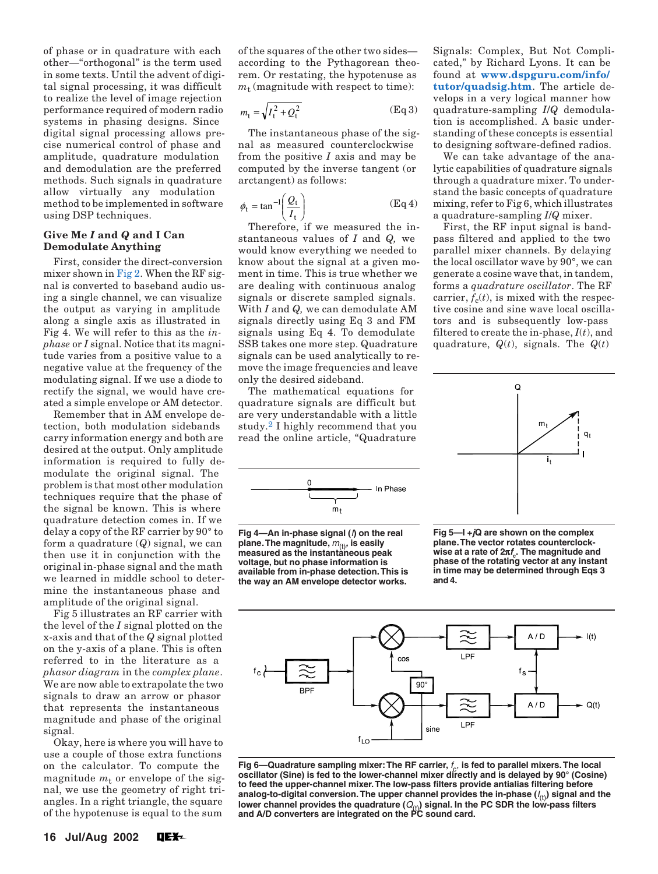<span id="page-3-0"></span>of phase or in quadrature with each other—"orthogonal" is the term used in some texts. Until the advent of digital signal processing, it was difficult to realize the level of image rejection performance required of modern radio systems in phasing designs. Since digital signal processing allows precise numerical control of phase and amplitude, quadrature modulation and demodulation are the preferred methods. Such signals in quadrature allow virtually any modulation method to be implemented in software using DSP techniques.

# **Give Me** *I* **and** *Q* **and I Can Demodulate Anything**

First, consider the direct-conversion mixer shown in [Fig 2.](#page-2-0) When the RF signal is converted to baseband audio using a single channel, we can visualize the output as varying in amplitude along a single axis as illustrated in Fig 4. We will refer to this as the *inphase* or *I* signal. Notice that its magnitude varies from a positive value to a negative value at the frequency of the modulating signal. If we use a diode to rectify the signal, we would have created a simple envelope or AM detector.

Remember that in AM envelope detection, both modulation sidebands carry information energy and both are desired at the output. Only amplitude information is required to fully demodulate the original signal. The problem is that most other modulation techniques require that the phase of the signal be known. This is where quadrature detection comes in. If we delay a copy of the RF carrier by 90° to form a quadrature (*Q*) signal, we can then use it in conjunction with the original in-phase signal and the math we learned in middle school to determine the instantaneous phase and amplitude of the original signal.

Fig 5 illustrates an RF carrier with the level of the *I* signal plotted on the x-axis and that of the *Q* signal plotted on the y-axis of a plane. This is often referred to in the literature as a *phasor diagram* in the *complex plane*. We are now able to extrapolate the two signals to draw an arrow or phasor that represents the instantaneous magnitude and phase of the original signal.

Okay, here is where you will have to use a couple of those extra functions on the calculator. To compute the magnitude  $m_t$  or envelope of the signal, we use the geometry of right triangles. In a right triangle, the square of the hypotenuse is equal to the sum

of the squares of the other two sides according to the Pythagorean theorem. Or restating, the hypotenuse as  $m_t$  (magnitude with respect to time):

$$
m_{t} = \sqrt{I_{t}^{2} + Q_{t}^{2}}
$$
 (Eq 3)

The instantaneous phase of the signal as measured counterclockwise from the positive *I* axis and may be computed by the inverse tangent (or arctangent) as follows:

$$
\phi_t = \tan^{-1}\left(\frac{Q_t}{I_t}\right) \tag{Eq 4}
$$

Therefore, if we measured the instantaneous values of *I* and *Q,* we would know everything we needed to know about the signal at a given moment in time. This is true whether we are dealing with continuous analog signals or discrete sampled signals. With *I* and *Q,* we can demodulate AM signals directly using Eq 3 and FM signals using Eq 4. To demodulate SSB takes one more step. Quadrature signals can be used analytically to remove the image frequencies and leave only the desired sideband.

The mathematical equations for quadrature signals are difficult but are very understandable with a little study[.2](#page-8-0) I highly recommend that you read the online article, "Quadrature



**Fig 4—An in-phase signal (**I**) on the real plane. The magnitude,**  $m_{(t)}$ **, is easily measured as the instantaneous peak voltage, but no phase information is available from in-phase detection. This is the way an AM envelope detector works.**

Signals: Complex, But Not Complicated," by Richard Lyons. It can be found at **[www.dspguru.com/info/](http://www.dspguru.com/info/tutor/quadsig.htm) [tutor/quadsig.htm](http://www.dspguru.com/info/tutor/quadsig.htm)**. The article develops in a very logical manner how quadrature-sampling *I*/*Q* demodulation is accomplished. A basic understanding of these concepts is essential to designing software-defined radios.

We can take advantage of the analytic capabilities of quadrature signals through a quadrature mixer. To understand the basic concepts of quadrature mixing, refer to Fig 6, which illustrates a quadrature-sampling *I*/*Q* mixer.

First, the RF input signal is bandpass filtered and applied to the two parallel mixer channels. By delaying the local oscillator wave by 90°, we can generate a cosine wave that, in tandem, forms a *quadrature oscillator*. The RF carrier,  $f_c(t)$ , is mixed with the respective cosine and sine wave local oscillators and is subsequently low-pass filtered to create the in-phase, *I*(*t*), and quadrature, *Q*(*t*), signals. The *Q*(*t*)



**Fig 5—I +jQ are shown on the complex plane. The vector rotates counterclockwise at a rate of 2**π**fc. The magnitude and phase of the rotating vector at any instant in time may be determined through Eqs 3 and 4.**



Fig 6—Quadrature sampling mixer: The RF carrier,  $f_c$ , is fed to parallel mixers. The local **oscillator (Sine) is fed to the lower-channel mixer directly and is delayed by 90° (Cosine) to feed the upper-channel mixer. The low-pass filters provide antialias filtering before** analog-to-digital conversion. The upper channel provides the in-phase ( $I_{(t)}$ ) signal and the lower channel provides the quadrature ( $Q_{\rm (t)}$ ) signal. In the PC SDR the loẅ-pass filters<br>and A/D converters are integrated on the PC sound card.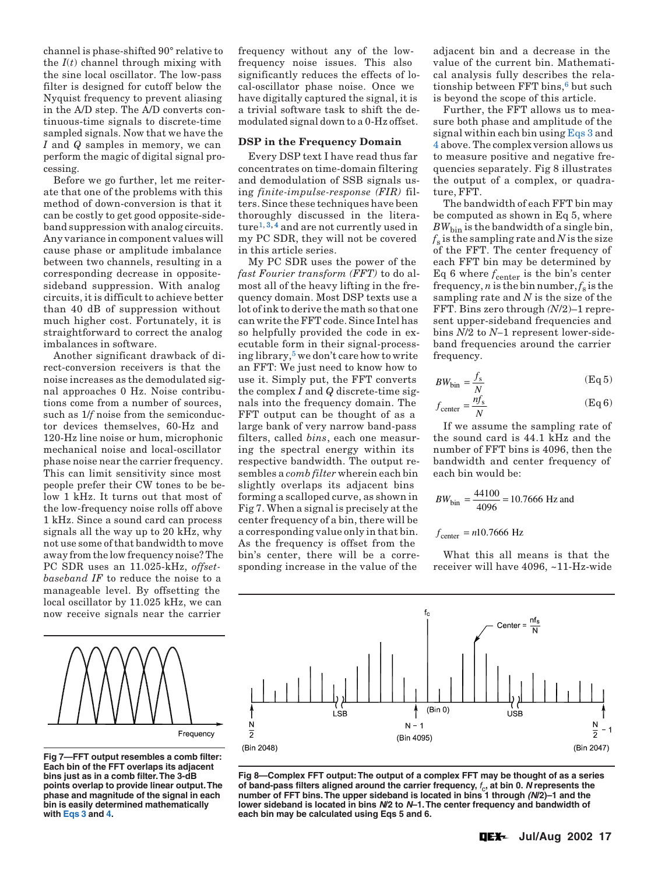channel is phase-shifted 90° relative to the  $I(t)$  channel through mixing with the sine local oscillator. The low-pass filter is designed for cutoff below the Nyquist frequency to prevent aliasing in the A/D step. The A/D converts continuous-time signals to discrete-time sampled signals. Now that we have the *I* and *Q* samples in memory, we can perform the magic of digital signal processing.

Before we go further, let me reiterate that one of the problems with this method of down-conversion is that it can be costly to get good opposite-sideband suppression with analog circuits. Any variance in component values will cause phase or amplitude imbalance between two channels, resulting in a corresponding decrease in oppositesideband suppression. With analog circuits, it is difficult to achieve better than 40 dB of suppression without much higher cost. Fortunately, it is straightforward to correct the analog imbalances in software.

Another significant drawback of direct-conversion receivers is that the noise increases as the demodulated signal approaches 0 Hz. Noise contributions come from a number of sources, such as 1/*f* noise from the semiconductor devices themselves, 60-Hz and 120-Hz line noise or hum, microphonic mechanical noise and local-oscillator phase noise near the carrier frequency. This can limit sensitivity since most people prefer their CW tones to be below 1 kHz. It turns out that most of the low-frequency noise rolls off above 1 kHz. Since a sound card can process signals all the way up to 20 kHz, why not use some of that bandwidth to move away from the low frequency noise? The PC SDR uses an 11.025-kHz, *offsetbaseband IF* to reduce the noise to a manageable level. By offsetting the local oscillator by 11.025 kHz, we can now receive signals near the carrier

frequency without any of the lowfrequency noise issues. This also significantly reduces the effects of local-oscillator phase noise. Once we have digitally captured the signal, it is a trivial software task to shift the demodulated signal down to a 0-Hz offset.

### **DSP in the Frequency Domain**

Every DSP text I have read thus far concentrates on time-domain filtering and demodulation of SSB signals using *finite-impulse-response (FIR)* filters. Since these techniques have been thoroughly discussed in the litera-ture<sup>[1](#page-8-0), [3,](#page-8-0) 4</sup> and are not currently used in my PC SDR, they will not be covered in this article series.

My PC SDR uses the power of the *fast Fourier transform (FFT)* to do almost all of the heavy lifting in the frequency domain. Most DSP texts use a lot of ink to derive the math so that one can write the FFT code. Since Intel has so helpfully provided the code in executable form in their signal-processing library[,5](#page-8-0) we don't care how to write an FFT: We just need to know how to use it. Simply put, the FFT converts the complex *I* and *Q* discrete-time signals into the frequency domain. The FFT output can be thought of as a large bank of very narrow band-pass filters, called *bins*, each one measuring the spectral energy within its respective bandwidth. The output resembles a *comb filter* wherein each bin slightly overlaps its adjacent bins forming a scalloped curve, as shown in Fig 7. When a signal is precisely at the center frequency of a bin, there will be a corresponding value only in that bin. As the frequency is offset from the bin's center, there will be a corresponding increase in the value of the

adjacent bin and a decrease in the value of the current bin. Mathematical analysis fully describes the relationship between  $FFT \, bins, 6$  but such is beyond the scope of this article.

Further, the FFT allows us to measure both phase and amplitude of the signal within each bin using [Eqs 3](#page-3-0) and [4](#page-3-0) above. The complex version allows us to measure positive and negative frequencies separately. Fig 8 illustrates the output of a complex, or quadrature, FFT.

The bandwidth of each FFT bin may be computed as shown in Eq 5, where  $BW_{\text{bin}}$  is the bandwidth of a single bin,  $f<sub>s</sub>$  is the sampling rate and *N* is the size of the FFT. The center frequency of each FFT bin may be determined by Eq 6 where  $f_{\text{center}}$  is the bin's center frequency, *n* is the bin number,  $f_s$  is the sampling rate and *N* is the size of the FFT. Bins zero through *(N*/2)–1 represent upper-sideband frequencies and bins *N*/2 to *N–*1 represent lower-sideband frequencies around the carrier frequency.

$$
BW_{\text{bin}} = \frac{f_s}{N} \tag{Eq 5}
$$

$$
f_{\text{center}} = \frac{n f_s}{N} \tag{Eq 6}
$$

If we assume the sampling rate of the sound card is 44.1 kHz and the number of FFT bins is 4096, then the bandwidth and center frequency of each bin would be:

$$
BW_{\text{bin}} = \frac{44100}{4096} = 10.7666 \text{ Hz and}
$$

 $f_{\text{center}} = n10.7666 \text{ Hz}$ 

What this all means is that the receiver will have 4096, ~11-Hz-wide



**Fig 7—FFT output resembles a comb filter: Each bin of the FFT overlaps its adjacent bins just as in a comb filter. The 3-dB points overlap to provide linear output. The phase and magnitude of the signal in each bin is easily determined mathematically with [Eqs 3](#page-3-0) and [4.](#page-3-0)**



**Fig 8—Complex FFT output: The output of a complex FFT may be thought of as a series of band-pass filters aligned around the carrier frequency,**  $f_c$ **, at bin 0. N represents the number of FFT bins. The upper sideband is located in bins 1 through (N/2)–1 and the lower sideband is located in bins N/2 to N–1. The center frequency and bandwidth of each bin may be calculated using Eqs 5 and 6.**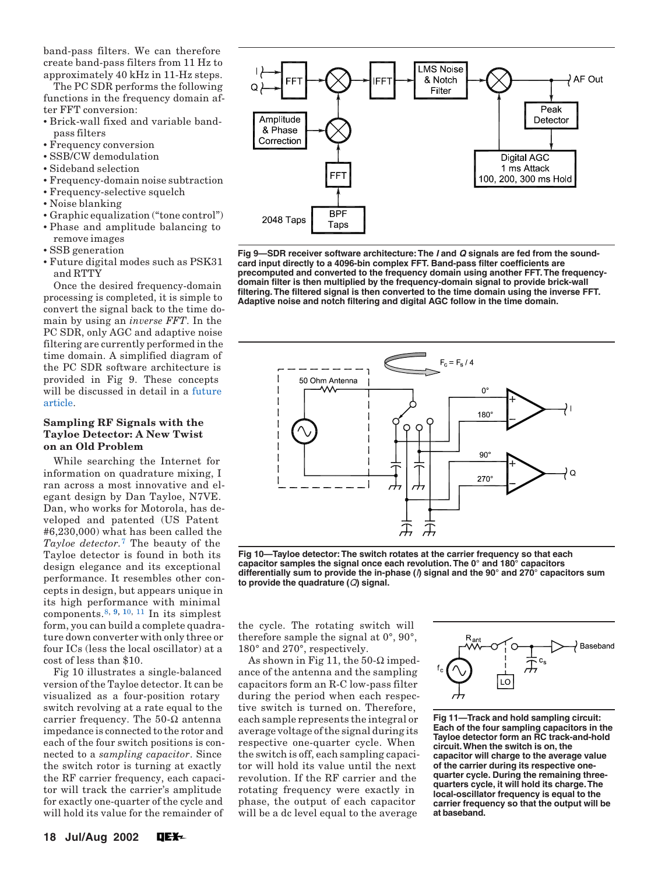<span id="page-5-0"></span>band-pass filters. We can therefore create band-pass filters from 11 Hz to approximately 40 kHz in 11-Hz steps.

The PC SDR performs the following functions in the frequency domain after FFT conversion:

- Brick-wall fixed and variable bandpass filters
- Frequency conversion
- SSB/CW demodulation
- Sideband selection
- Frequency-domain noise subtraction
- Frequency-selective squelch
- Noise blanking
- Graphic equalization ("tone control") • Phase and amplitude balancing to
- remove images
- SSB generation
- Future digital modes such as PSK31 and RTTY

Once the desired frequency-domain processing is completed, it is simple to convert the signal back to the time domain by using an *inverse FFT*. In the PC SDR, only AGC and adaptive noise filtering are currently performed in the time domain. A simplified diagram of the PC SDR software architecture is provided in Fig 9. These concepts will be discussed in detail in a [future](#page-11-0)  [article.](#page-11-0)

# **Sampling RF Signals with the Tayloe Detector: A New Twist on an Old Problem**

While searching the Internet for information on quadrature mixing, I ran across a most innovative and elegant design by Dan Tayloe, N7VE. Dan, who works for Motorola, has developed and patented (US Patent #6,230,000) what has been called the *Tayloe detector.*[7](#page-8-0) The beauty of the Tayloe detector is found in both its design elegance and its exceptional performance. It resembles other concepts in design, but appears unique in its high performance with minimal components.<sup>8, [9](#page-8-0), [10](#page-8-0), 11</sup> In its simplest form, you can build a complete quadrature down converter with only three or four ICs (less the local oscillator) at a cost of less than \$10.

Fig 10 illustrates a single-balanced version of the Tayloe detector. It can be visualized as a four-position rotary switch revolving at a rate equal to the carrier frequency. The 50-Ω antenna impedance is connected to the rotor and each of the four switch positions is connected to a *sampling capacitor*. Since the switch rotor is turning at exactly the RF carrier frequency, each capacitor will track the carrier's amplitude for exactly one-quarter of the cycle and will hold its value for the remainder of



**Fig 9—SDR receiver software architecture: The I and Q signals are fed from the soundcard input directly to a 4096-bin complex FFT. Band-pass filter coefficients are precomputed and converted to the frequency domain using another FFT. The frequencydomain filter is then multiplied by the frequency-domain signal to provide brick-wall filtering. The filtered signal is then converted to the time domain using the inverse FFT. Adaptive noise and notch filtering and digital AGC follow in the time domain.**



**Fig 10—Tayloe detector: The switch rotates at the carrier frequency so that each capacitor samples the signal once each revolution. The 0° and 180° capacitors differentially sum to provide the in-phase (**I**) signal and the 90° and 270° capacitors sum to provide the quadrature (**Q**) signal.**

the cycle. The rotating switch will therefore sample the signal at 0°, 90°, 180° and 270°, respectively.

As shown in Fig 11, the  $50-\Omega$  impedance of the antenna and the sampling capacitors form an R-C low-pass filter during the period when each respective switch is turned on. Therefore, each sample represents the integral or average voltage of the signal during its respective one-quarter cycle. When the switch is off, each sampling capacitor will hold its value until the next revolution. If the RF carrier and the rotating frequency were exactly in phase, the output of each capacitor will be a dc level equal to the average



**Fig 11—Track and hold sampling circuit: Each of the four sampling capacitors in the Tayloe detector form an RC track-and-hold circuit. When the switch is on, the capacitor will charge to the average value of the carrier during its respective onequarter cycle. During the remaining threequarters cycle, it will hold its charge. The local-oscillator frequency is equal to the carrier frequency so that the output will be at baseband.**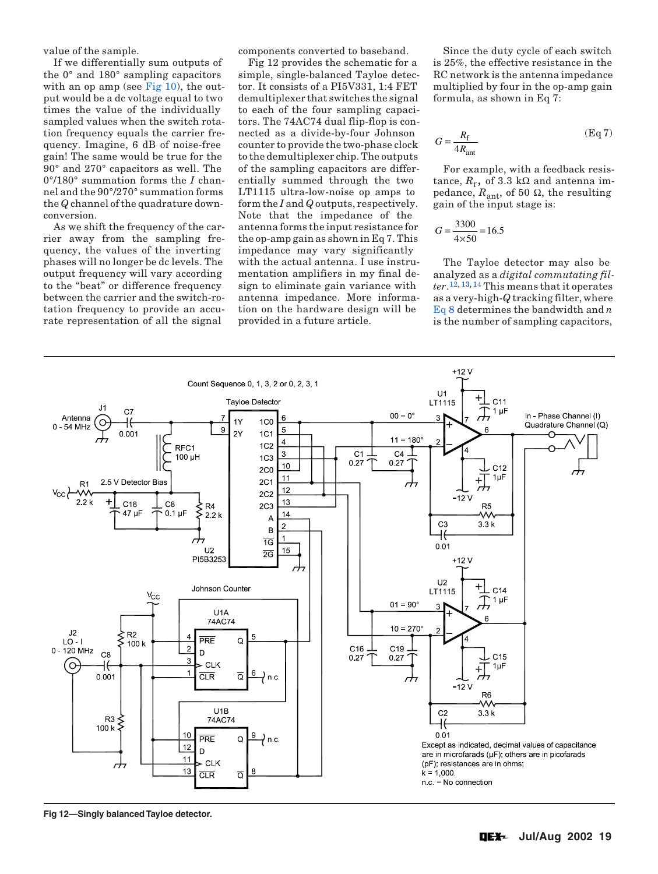value of the sample.

If we differentially sum outputs of the 0° and 180° sampling capacitors with an op amp (see Fig  $10$ ), the output would be a dc voltage equal to two times the value of the individually sampled values when the switch rotation frequency equals the carrier frequency. Imagine, 6 dB of noise-free gain! The same would be true for the 90° and 270° capacitors as well. The 0°/180° summation forms the *I* channel and the 90°/270° summation forms the *Q* channel of the quadrature downconversion.

As we shift the frequency of the carrier away from the sampling frequency, the values of the inverting phases will no longer be dc levels. The output frequency will vary according to the "beat" or difference frequency between the carrier and the switch-rotation frequency to provide an accurate representation of all the signal

components converted to baseband.

Fig 12 provides the schematic for a simple, single-balanced Tayloe detector. It consists of a PI5V331, 1:4 FET demultiplexer that switches the signal to each of the four sampling capacitors. The 74AC74 dual flip-flop is connected as a divide-by-four Johnson counter to provide the two-phase clock to the demultiplexer chip. The outputs of the sampling capacitors are differentially summed through the two LT1115 ultra-low-noise op amps to form the *I* and *Q* outputs, respectively. Note that the impedance of the antenna forms the input resistance for the op-amp gain as shown in Eq 7. This impedance may vary significantly with the actual antenna. I use instrumentation amplifiers in my final design to eliminate gain variance with antenna impedance. More information on the hardware design will be provided in a future article.

Since the duty cycle of each switch is 25%, the effective resistance in the RC network is the antenna impedance multiplied by four in the op-amp gain formula, as shown in Eq 7:

$$
G = \frac{R_{\rm f}}{4R_{\rm ant}}\tag{Eq 7}
$$

For example, with a feedback resistance,  $R_f$ , of 3.3 kΩ and antenna impedance,  $R_{\text{ant}}$ , of 50 Ω, the resulting gain of the input stage is:

$$
G = \frac{3300}{4 \times 50} = 16.5
$$

The Tayloe detector may also be analyzed as a *digital commutating filter*[.12](#page-8-0), [13, 14](#page-8-0) This means that it operates as a very-high-*Q* tracking filter, where [Eq](#page-7-0) 8 determines the bandwidth and *n* is the number of sampling capacitors,



**Fig 12—Singly balanced Tayloe detector.**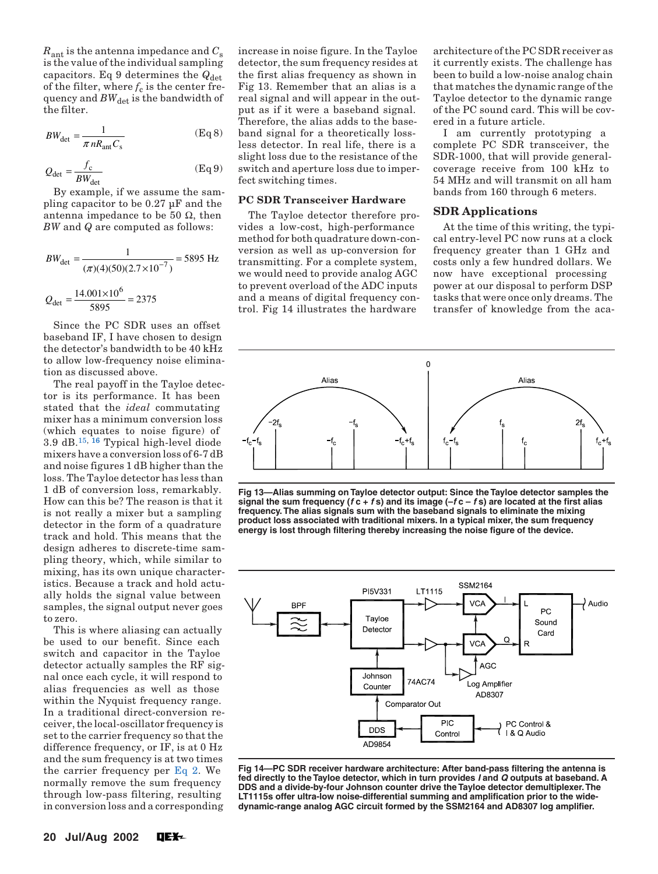<span id="page-7-0"></span> $R_{\text{ant}}$  is the antenna impedance and  $C_{\text{s}}$ is the value of the individual sampling capacitors. Eq 9 determines the  $Q_{\text{det}}$ of the filter, where  $f_c$  is the center frequency and  $BW_{\text{det}}$  is the bandwidth of the filter.

$$
BW_{\text{det}} = \frac{1}{\pi n R_{\text{ant}} C_{\text{s}}} \tag{Eq 8}
$$

$$
Q_{\text{det}} = \frac{f_c}{BW_{\text{det}}}
$$
 (Eq 9)

By example, if we assume the sampling capacitor to be 0.27 µF and the antenna impedance to be 50  $Ω$ , then *BW* and *Q* are computed as follows:

$$
BW_{\text{det}} = \frac{1}{(\pi)(4)(50)(2.7 \times 10^{-7})} = 5895 \text{ Hz}
$$

$$
Q_{\text{det}} = \frac{14.001 \times 10^6}{5895} = 2375
$$

Since the PC SDR uses an offset baseband IF, I have chosen to design the detector's bandwidth to be 40 kHz to allow low-frequency noise elimination as discussed above.

The real payoff in the Tayloe detector is its performance. It has been stated that the *ideal* commutating mixer has a minimum conversion loss (which equates to noise figure) of 3.9 dB.[15,](#page-8-0) [16](#page-8-0) Typical high-level diode mixers have a conversion loss of 6-7 dB and noise figures 1 dB higher than the loss. The Tayloe detector has less than 1 dB of conversion loss, remarkably. How can this be? The reason is that it is not really a mixer but a sampling detector in the form of a quadrature track and hold. This means that the design adheres to discrete-time sampling theory, which, while similar to mixing, has its own unique characteristics. Because a track and hold actually holds the signal value between samples, the signal output never goes to zero.

This is where aliasing can actually be used to our benefit. Since each switch and capacitor in the Tayloe detector actually samples the RF signal once each cycle, it will respond to alias frequencies as well as those within the Nyquist frequency range. In a traditional direct-conversion receiver, the local-oscillator frequency is set to the carrier frequency so that the difference frequency, or IF, is at 0 Hz and the sum frequency is at two times the carrier frequency per  $Eq 2$ . We normally remove the sum frequency through low-pass filtering, resulting in conversion loss and a corresponding

increase in noise figure. In the Tayloe detector, the sum frequency resides at the first alias frequency as shown in Fig 13. Remember that an alias is a real signal and will appear in the output as if it were a baseband signal. Therefore, the alias adds to the baseband signal for a theoretically lossless detector. In real life, there is a slight loss due to the resistance of the switch and aperture loss due to imperfect switching times.

## **PC SDR Transceiver Hardware**

The Tayloe detector therefore provides a low-cost, high-performance method for both quadrature down-conversion as well as up-conversion for transmitting. For a complete system, we would need to provide analog AGC to prevent overload of the ADC inputs and a means of digital frequency control. Fig 14 illustrates the hardware

architecture of the PC SDR receiver as it currently exists. The challenge has been to build a low-noise analog chain that matches the dynamic range of the Tayloe detector to the dynamic range of the PC sound card. This will be covered in a future article.

I am currently prototyping a complete PC SDR transceiver, the SDR-1000, that will provide generalcoverage receive from 100 kHz to 54 MHz and will transmit on all ham bands from 160 through 6 meters.

# **SDR Applications**

At the time of this writing, the typical entry-level PC now runs at a clock frequency greater than 1 GHz and costs only a few hundred dollars. We now have exceptional processing power at our disposal to perform DSP tasks that were once only dreams. The transfer of knowledge from the aca-



**Fig 13—Alias summing on Tayloe detector output: Since the Tayloe detector samples the signal the sum frequency (f c + f s) and its image (–f c – f s) are located at the first alias frequency. The alias signals sum with the baseband signals to eliminate the mixing product loss associated with traditional mixers. In a typical mixer, the sum frequency energy is lost through filtering thereby increasing the noise figure of the device.**



**Fig 14—PC SDR receiver hardware architecture: After band-pass filtering the antenna is fed directly to the Tayloe detector, which in turn provides I and Q outputs at baseband. A DDS and a divide-by-four Johnson counter drive the Tayloe detector demultiplexer. The LT1115s offer ultra-low noise-differential summing and amplification prior to the widedynamic-range analog AGC circuit formed by the SSM2164 and AD8307 log amplifier.**